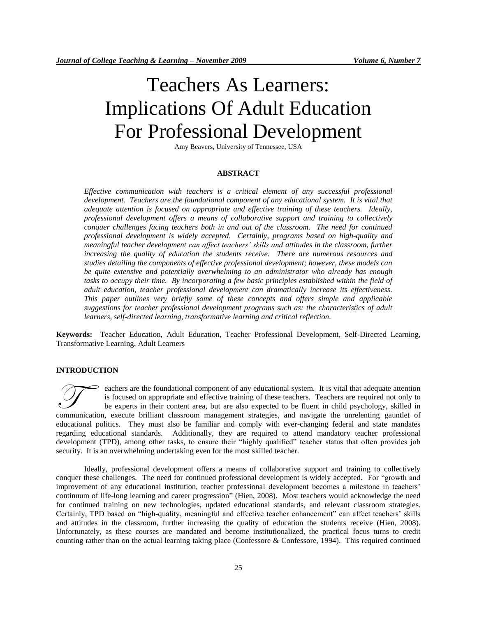# Teachers As Learners: Implications Of Adult Education For Professional Development

Amy Beavers, University of Tennessee, USA

## **ABSTRACT**

*Effective communication with teachers is a critical element of any successful professional development. Teachers are the foundational component of any educational system. It is vital that adequate attention is focused on appropriate and effective training of these teachers. Ideally, professional development offers a means of collaborative support and training to collectively conquer challenges facing teachers both in and out of the classroom. The need for continued professional development is widely accepted. Certainly, programs based on high-quality and meaningful teacher development can affect teachers' skills and attitudes in the classroom, further increasing the quality of education the students receive. There are numerous resources and studies detailing the components of effective professional development; however, these models can be quite extensive and potentially overwhelming to an administrator who already has enough tasks to occupy their time. By incorporating a few basic principles established within the field of adult education, teacher professional development can dramatically increase its effectiveness. This paper outlines very briefly some of these concepts and offers simple and applicable suggestions for teacher professional development programs such as: the characteristics of adult learners, self-directed learning, transformative learning and critical reflection.*

**Keywords:** Teacher Education, Adult Education, Teacher Professional Development, Self-Directed Learning, Transformative Learning, Adult Learners

#### **INTRODUCTION**

eachers are the foundational component of any educational system. It is vital that adequate attention is focused on appropriate and effective training of these teachers. Teachers are required not only to be experts in their content area, but are also expected to be fluent in child psychology, skilled in executes are the foundational component of any educational system. It is vital that adequate attention is focused on appropriate and effective training of these teachers. Teachers are required not only to be experts in the educational politics. They must also be familiar and comply with ever-changing federal and state mandates regarding educational standards. Additionally, they are required to attend mandatory teacher professional development (TPD), among other tasks, to ensure their "highly qualified" teacher status that often provides job security. It is an overwhelming undertaking even for the most skilled teacher.

Ideally, professional development offers a means of collaborative support and training to collectively conquer these challenges. The need for continued professional development is widely accepted. For "growth and improvement of any educational institution, teacher professional development becomes a milestone in teachers' continuum of life-long learning and career progression" (Hien, 2008). Most teachers would acknowledge the need for continued training on new technologies, updated educational standards, and relevant classroom strategies. Certainly, TPD based on "high-quality, meaningful and effective teacher enhancement" can affect teachers' skills and attitudes in the classroom, further increasing the quality of education the students receive (Hien, 2008). Unfortunately, as these courses are mandated and become institutionalized, the practical focus turns to credit counting rather than on the actual learning taking place (Confessore & Confessore, 1994). This required continued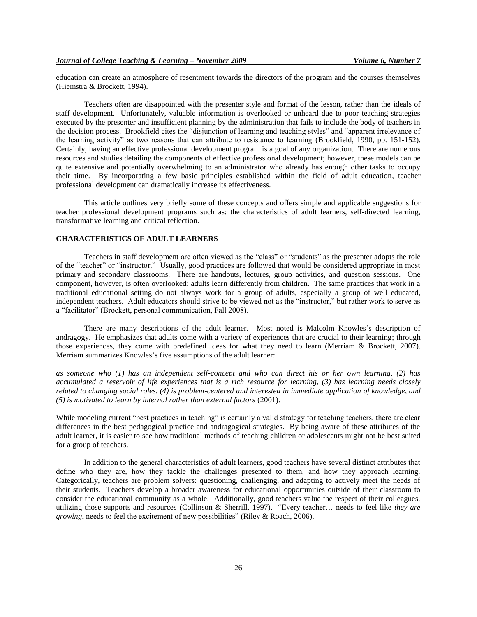education can create an atmosphere of resentment towards the directors of the program and the courses themselves (Hiemstra & Brockett, 1994).

Teachers often are disappointed with the presenter style and format of the lesson, rather than the ideals of staff development. Unfortunately, valuable information is overlooked or unheard due to poor teaching strategies executed by the presenter and insufficient planning by the administration that fails to include the body of teachers in the decision process. Brookfield cites the "disjunction of learning and teaching styles" and "apparent irrelevance of the learning activity" as two reasons that can attribute to resistance to learning (Brookfield, 1990, pp. 151-152). Certainly, having an effective professional development program is a goal of any organization. There are numerous resources and studies detailing the components of effective professional development; however, these models can be quite extensive and potentially overwhelming to an administrator who already has enough other tasks to occupy their time. By incorporating a few basic principles established within the field of adult education, teacher professional development can dramatically increase its effectiveness.

This article outlines very briefly some of these concepts and offers simple and applicable suggestions for teacher professional development programs such as: the characteristics of adult learners, self-directed learning, transformative learning and critical reflection.

#### **CHARACTERISTICS OF ADULT LEARNERS**

Teachers in staff development are often viewed as the "class" or "students" as the presenter adopts the role of the "teacher" or "instructor." Usually, good practices are followed that would be considered appropriate in most primary and secondary classrooms. There are handouts, lectures, group activities, and question sessions. One component, however, is often overlooked: adults learn differently from children. The same practices that work in a traditional educational setting do not always work for a group of adults, especially a group of well educated, independent teachers. Adult educators should strive to be viewed not as the "instructor," but rather work to serve as a "facilitator" (Brockett, personal communication, Fall 2008).

There are many descriptions of the adult learner. Most noted is Malcolm Knowles's description of andragogy. He emphasizes that adults come with a variety of experiences that are crucial to their learning; through those experiences, they come with predefined ideas for what they need to learn (Merriam & Brockett, 2007). Merriam summarizes Knowles's five assumptions of the adult learner:

*as someone who (1) has an independent self-concept and who can direct his or her own learning, (2) has accumulated a reservoir of life experiences that is a rich resource for learning, (3) has learning needs closely related to changing social roles, (4) is problem-centered and interested in immediate application of knowledge, and (5) is motivated to learn by internal rather than external factors* (2001).

While modeling current "best practices in teaching" is certainly a valid strategy for teaching teachers, there are clear differences in the best pedagogical practice and andragogical strategies. By being aware of these attributes of the adult learner, it is easier to see how traditional methods of teaching children or adolescents might not be best suited for a group of teachers.

In addition to the general characteristics of adult learners, good teachers have several distinct attributes that define who they are, how they tackle the challenges presented to them, and how they approach learning. Categorically, teachers are problem solvers: questioning, challenging, and adapting to actively meet the needs of their students. Teachers develop a broader awareness for educational opportunities outside of their classroom to consider the educational community as a whole. Additionally, good teachers value the respect of their colleagues, utilizing those supports and resources (Collinson & Sherrill, 1997). "Every teacher… needs to feel like *they are growing*, needs to feel the excitement of new possibilities" (Riley & Roach, 2006).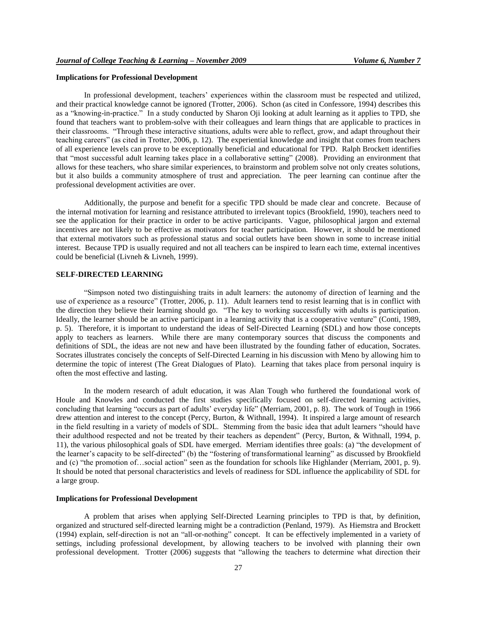## **Implications for Professional Development**

In professional development, teachers' experiences within the classroom must be respected and utilized, and their practical knowledge cannot be ignored (Trotter, 2006). Schon (as cited in Confessore, 1994) describes this as a "knowing-in-practice." In a study conducted by Sharon Oji looking at adult learning as it applies to TPD, she found that teachers want to problem-solve with their colleagues and learn things that are applicable to practices in their classrooms. "Through these interactive situations, adults were able to reflect, grow, and adapt throughout their teaching careers" (as cited in Trotter, 2006, p. 12). The experiential knowledge and insight that comes from teachers of all experience levels can prove to be exceptionally beneficial and educational for TPD. Ralph Brockett identifies that "most successful adult learning takes place in a collaborative setting" (2008). Providing an environment that allows for these teachers, who share similar experiences, to brainstorm and problem solve not only creates solutions, but it also builds a community atmosphere of trust and appreciation. The peer learning can continue after the professional development activities are over.

Additionally, the purpose and benefit for a specific TPD should be made clear and concrete. Because of the internal motivation for learning and resistance attributed to irrelevant topics (Brookfield, 1990), teachers need to see the application for their practice in order to be active participants. Vague, philosophical jargon and external incentives are not likely to be effective as motivators for teacher participation. However, it should be mentioned that external motivators such as professional status and social outlets have been shown in some to increase initial interest. Because TPD is usually required and not all teachers can be inspired to learn each time, external incentives could be beneficial (Livneh & Livneh, 1999).

# **SELF-DIRECTED LEARNING**

"Simpson noted two distinguishing traits in adult learners: the autonomy of direction of learning and the use of experience as a resource" (Trotter, 2006, p. 11). Adult learners tend to resist learning that is in conflict with the direction they believe their learning should go. "The key to working successfully with adults is participation. Ideally, the learner should be an active participant in a learning activity that is a cooperative venture" (Conti, 1989, p. 5). Therefore, it is important to understand the ideas of Self-Directed Learning (SDL) and how those concepts apply to teachers as learners. While there are many contemporary sources that discuss the components and definitions of SDL, the ideas are not new and have been illustrated by the founding father of education, Socrates. Socrates illustrates concisely the concepts of Self-Directed Learning in his discussion with Meno by allowing him to determine the topic of interest (The Great Dialogues of Plato). Learning that takes place from personal inquiry is often the most effective and lasting.

In the modern research of adult education, it was Alan Tough who furthered the foundational work of Houle and Knowles and conducted the first studies specifically focused on self-directed learning activities, concluding that learning "occurs as part of adults' everyday life" (Merriam, 2001, p. 8). The work of Tough in 1966 drew attention and interest to the concept (Percy, Burton, & Withnall, 1994). It inspired a large amount of research in the field resulting in a variety of models of SDL. Stemming from the basic idea that adult learners "should have their adulthood respected and not be treated by their teachers as dependent" (Percy, Burton, & Withnall, 1994, p. 11), the various philosophical goals of SDL have emerged. Merriam identifies three goals: (a) "the development of the learner's capacity to be self-directed" (b) the "fostering of transformational learning" as discussed by Brookfield and (c) "the promotion of…social action" seen as the foundation for schools like Highlander (Merriam, 2001, p. 9). It should be noted that personal characteristics and levels of readiness for SDL influence the applicability of SDL for a large group.

#### **Implications for Professional Development**

A problem that arises when applying Self-Directed Learning principles to TPD is that, by definition, organized and structured self-directed learning might be a contradiction (Penland, 1979). As Hiemstra and Brockett (1994) explain, self-direction is not an "all-or-nothing" concept. It can be effectively implemented in a variety of settings, including professional development, by allowing teachers to be involved with planning their own professional development. Trotter (2006) suggests that "allowing the teachers to determine what direction their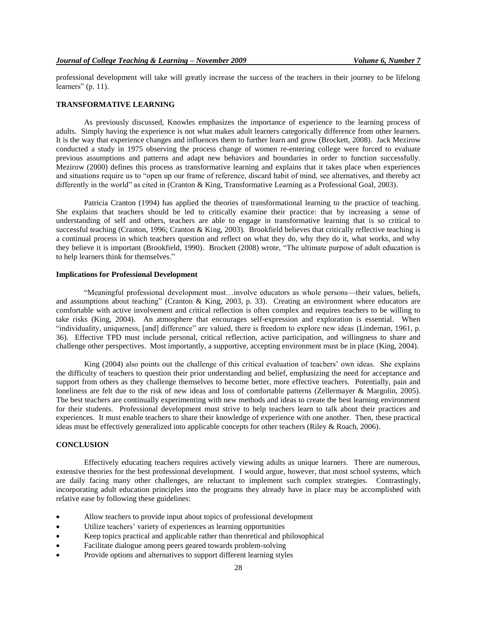professional development will take will greatly increase the success of the teachers in their journey to be lifelong learners" (p. 11).

#### **TRANSFORMATIVE LEARNING**

As previously discussed, Knowles emphasizes the importance of experience to the learning process of adults. Simply having the experience is not what makes adult learners categorically difference from other learners. It is the way that experience changes and influences them to further learn and grow (Brockett, 2008). Jack Mezirow conducted a study in 1975 observing the process change of women re-entering college were forced to evaluate previous assumptions and patterns and adapt new behaviors and boundaries in order to function successfully. Mezirow (2000) defines this process as transformative learning and explains that it takes place when experiences and situations require us to "open up our frame of reference, discard habit of mind, see alternatives, and thereby act differently in the world" as cited in (Cranton & King, Transformative Learning as a Professional Goal, 2003).

Patricia Cranton (1994) has applied the theories of transformational learning to the practice of teaching. She explains that teachers should be led to critically examine their practice: that by increasing a sense of understanding of self and others, teachers are able to engage in transformative learning that is so critical to successful teaching (Cranton, 1996; Cranton & King, 2003). Brookfield believes that critically reflective teaching is a continual process in which teachers question and reflect on what they do, why they do it, what works, and why they believe it is important (Brookfield, 1990). Brockett (2008) wrote, "The ultimate purpose of adult education is to help learners think for themselves."

## **Implications for Professional Development**

"Meaningful professional development must…involve educators as whole persons—their values, beliefs, and assumptions about teaching" (Cranton & King, 2003, p. 33). Creating an environment where educators are comfortable with active involvement and critical reflection is often complex and requires teachers to be willing to take risks (King, 2004). An atmosphere that encourages self-expression and exploration is essential. When "individuality, uniqueness, [and] difference" are valued, there is freedom to explore new ideas (Lindeman, 1961, p. 36). Effective TPD must include personal, critical reflection, active participation, and willingness to share and challenge other perspectives. Most importantly, a supportive, accepting environment must be in place (King, 2004).

King (2004) also points out the challenge of this critical evaluation of teachers' own ideas. She explains the difficulty of teachers to question their prior understanding and belief, emphasizing the need for acceptance and support from others as they challenge themselves to become better, more effective teachers. Potentially, pain and loneliness are felt due to the risk of new ideas and loss of comfortable patterns (Zellermayer & Margolin, 2005). The best teachers are continually experimenting with new methods and ideas to create the best learning environment for their students. Professional development must strive to help teachers learn to talk about their practices and experiences. It must enable teachers to share their knowledge of experience with one another. Then, these practical ideas must be effectively generalized into applicable concepts for other teachers (Riley & Roach, 2006).

## **CONCLUSION**

Effectively educating teachers requires actively viewing adults as unique learners. There are numerous, extensive theories for the best professional development. I would argue, however, that most school systems, which are daily facing many other challenges, are reluctant to implement such complex strategies. Contrastingly, incorporating adult education principles into the programs they already have in place may be accomplished with relative ease by following these guidelines:

- Allow teachers to provide input about topics of professional development
- Utilize teachers' variety of experiences as learning opportunities
- Keep topics practical and applicable rather than theoretical and philosophical
- Facilitate dialogue among peers geared towards problem-solving
- Provide options and alternatives to support different learning styles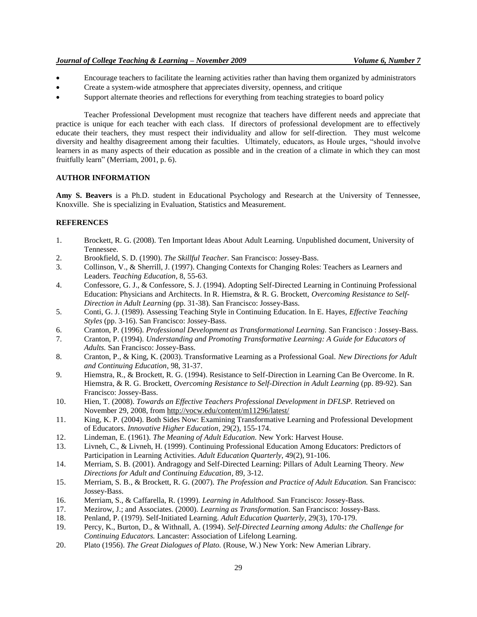## *Journal of College Teaching & Learning – November 2009 Volume 6, Number 7*

- Encourage teachers to facilitate the learning activities rather than having them organized by administrators
- Create a system-wide atmosphere that appreciates diversity, openness, and critique
- Support alternate theories and reflections for everything from teaching strategies to board policy

Teacher Professional Development must recognize that teachers have different needs and appreciate that practice is unique for each teacher with each class. If directors of professional development are to effectively educate their teachers, they must respect their individuality and allow for self-direction. They must welcome diversity and healthy disagreement among their faculties. Ultimately, educators, as Houle urges, "should involve learners in as many aspects of their education as possible and in the creation of a climate in which they can most fruitfully learn" (Merriam, 2001, p. 6).

# **AUTHOR INFORMATION**

**Amy S. Beavers** is a Ph.D. student in Educational Psychology and Research at the University of Tennessee, Knoxville. She is specializing in Evaluation, Statistics and Measurement.

# **REFERENCES**

- 1. Brockett, R. G. (2008). Ten Important Ideas About Adult Learning. Unpublished document, University of Tennessee.
- 2. Brookfield, S. D. (1990). *The Skillful Teacher.* San Francisco: Jossey-Bass.
- 3. Collinson, V., & Sherrill, J. (1997). Changing Contexts for Changing Roles: Teachers as Learners and Leaders. *Teaching Education*, 8, 55-63.
- 4. Confessore, G. J., & Confessore, S. J. (1994). Adopting Self-Directed Learning in Continuing Professional Education: Physicians and Architects. In R. Hiemstra, & R. G. Brockett, *Overcoming Resistance to Self-Direction in Adult Learning* (pp. 31-38). San Francisco: Jossey-Bass.
- 5. Conti, G. J. (1989). Assessing Teaching Style in Continuing Education. In E. Hayes, *Effective Teaching Styles* (pp. 3-16). San Francisco: Jossey-Bass.
- 6. Cranton, P. (1996). *Professional Development as Transformational Learning.* San Francisco : Jossey-Bass.
- 7. Cranton, P. (1994). *Understanding and Promoting Transformative Learning: A Guide for Educators of Adults.* San Francisco: Jossey-Bass.
- 8. Cranton, P., & King, K. (2003). Transformative Learning as a Professional Goal. *New Directions for Adult and Continuing Education*, 98, 31-37.
- 9. Hiemstra, R., & Brockett, R. G. (1994). Resistance to Self-Direction in Learning Can Be Overcome. In R. Hiemstra, & R. G. Brockett, *Overcoming Resistance to Self-Direction in Adult Learning* (pp. 89-92). San Francisco: Jossey-Bass.
- 10. Hien, T. (2008). *Towards an Effective Teachers Professional Development in DFLSP.* Retrieved on November 29, 2008, from http://vocw.edu/content/m11296/latest/
- 11. King, K. P. (2004). Both Sides Now: Examining Transformative Learning and Professional Development of Educators. *Innovative Higher Education*, 29(2), 155-174.
- 12. Lindeman, E. (1961). *The Meaning of Adult Education.* New York: Harvest House.
- 13. Livneh, C., & Livneh, H. (1999). Continuing Professional Education Among Educators: Predictors of Participation in Learning Activities. *Adult Education Quarterly*, 49(2), 91-106.
- 14. Merriam, S. B. (2001). Andragogy and Self-Directed Learning: Pillars of Adult Learning Theory. *New Directions for Adult and Continuing Education*, 89, 3-12.
- 15. Merriam, S. B., & Brockett, R. G. (2007). *The Profession and Practice of Adult Education.* San Francisco: Jossey-Bass.
- 16. Merriam, S., & Caffarella, R. (1999). *Learning in Adulthood.* San Francisco: Jossey-Bass.
- 17. Mezirow, J.; and Associates. (2000). *Learning as Transformation.* San Francisco: Jossey-Bass.
- 18. Penland, P. (1979). Self-Initiated Learning. *Adult Education Quarterly*, 29(3), 170-179.
- 19. Percy, K., Burton, D., & Withnall, A. (1994). *Self-Directed Learning among Adults: the Challenge for Continuing Educators.* Lancaster: Association of Lifelong Learning.
- 20. Plato (1956). *The Great Dialogues of Plato.* (Rouse, W.) New York: New Amerian Library.